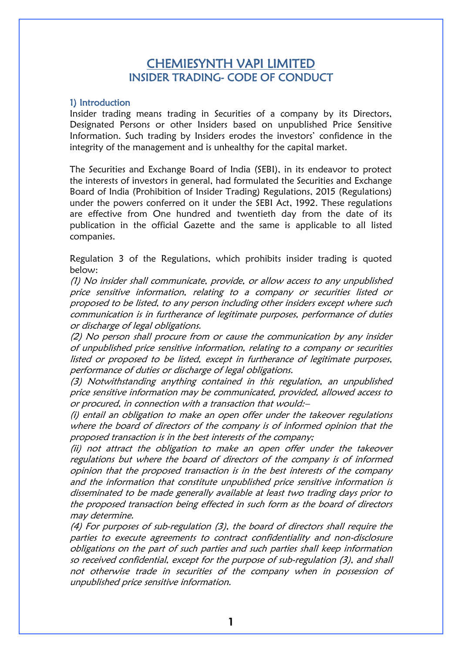# CHEMIESYNTH VAPI LIMITED INSIDER TRADING- CODE OF CONDUCT

#### 1) Introduction

Insider trading means trading in Securities of a company by its Directors, Designated Persons or other Insiders based on unpublished Price Sensitive Information. Such trading by Insiders erodes the investors' confidence in the integrity of the management and is unhealthy for the capital market.

The Securities and Exchange Board of India (SEBI), in its endeavor to protect the interests of investors in general, had formulated the Securities and Exchange Board of India (Prohibition of Insider Trading) Regulations, 2015 (Regulations) under the powers conferred on it under the SEBI Act, 1992. These regulations are effective from One hundred and twentieth day from the date of its publication in the official Gazette and the same is applicable to all listed companies.

Regulation 3 of the Regulations, which prohibits insider trading is quoted below:

(1) No insider shall communicate, provide, or allow access to any unpublished price sensitive information, relating to a company or securities listed or proposed to be listed, to any person including other insiders except where such communication is in furtherance of legitimate purposes, performance of duties or discharge of legal obligations.

(2) No person shall procure from or cause the communication by any insider of unpublished price sensitive information, relating to a company or securities listed or proposed to be listed, except in furtherance of legitimate purposes, performance of duties or discharge of legal obligations.

(3) Notwithstanding anything contained in this regulation, an unpublished price sensitive information may be communicated, provided, allowed access to or procured, in connection with a transaction that would:–

(i) entail an obligation to make an open offer under the takeover regulations where the board of directors of the company is of informed opinion that the proposed transaction is in the best interests of the company;

(ii) not attract the obligation to make an open offer under the takeover regulations but where the board of directors of the company is of informed opinion that the proposed transaction is in the best interests of the company and the information that constitute unpublished price sensitive information is disseminated to be made generally available at least two trading days prior to the proposed transaction being effected in such form as the board of directors may determine.

(4) For purposes of sub-regulation (3), the board of directors shall require the parties to execute agreements to contract confidentiality and non-disclosure obligations on the part of such parties and such parties shall keep information so received confidential, except for the purpose of sub-regulation (3), and shall not otherwise trade in securities of the company when in possession of unpublished price sensitive information.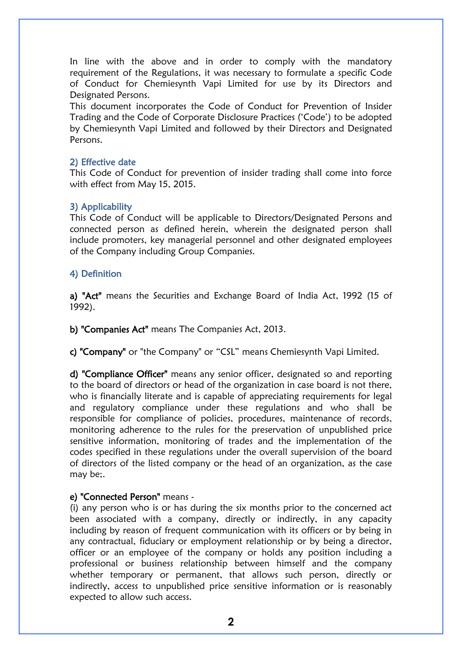In line with the above and in order to comply with the mandatory requirement of the Regulations, it was necessary to formulate a specific Code of Conduct for Chemiesynth Vapi Limited for use by its Directors and Designated Persons.

This document incorporates the Code of Conduct for Prevention of Insider Trading and the Code of Corporate Disclosure Practices ('Code') to be adopted by Chemiesynth Vapi Limited and followed by their Directors and Designated Persons.

#### 2) Effective date

This Code of Conduct for prevention of insider trading shall come into force with effect from May 15, 2015.

#### 3) Applicability

This Code of Conduct will be applicable to Directors/Designated Persons and connected person as defined herein, wherein the designated person shall include promoters, key managerial personnel and other designated employees of the Company including Group Companies.

## 4) Definition

a) "Act" means the Securities and Exchange Board of India Act, 1992 (15 of 1992).

b) "Companies Act" means The Companies Act, 2013.

c) "Company" or "the Company" or "CSL" means Chemiesynth Vapi Limited.

d) "Compliance Officer" means any senior officer, designated so and reporting to the board of directors or head of the organization in case board is not there, who is financially literate and is capable of appreciating requirements for legal and regulatory compliance under these regulations and who shall be responsible for compliance of policies, procedures, maintenance of records, monitoring adherence to the rules for the preservation of unpublished price sensitive information, monitoring of trades and the implementation of the codes specified in these regulations under the overall supervision of the board of directors of the listed company or the head of an organization, as the case may be;.

## e) "Connected Person" means -

(i) any person who is or has during the six months prior to the concerned act been associated with a company, directly or indirectly, in any capacity including by reason of frequent communication with its officers or by being in any contractual, fiduciary or employment relationship or by being a director, officer or an employee of the company or holds any position including a professional or business relationship between himself and the company whether temporary or permanent, that allows such person, directly or indirectly, access to unpublished price sensitive information or is reasonably expected to allow such access.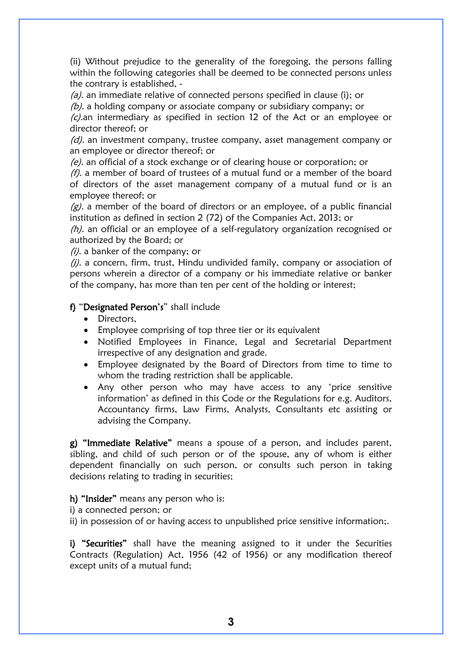(ii) Without prejudice to the generality of the foregoing, the persons falling within the following categories shall be deemed to be connected persons unless the contrary is established, -

(a). an immediate relative of connected persons specified in clause (i); or

 $(b)$ . a holding company or associate company or subsidiary company; or

 $(c)$  an intermediary as specified in section 12 of the Act or an employee or director thereof; or

 $(d)$ , an investment company, trustee company, asset management company or an employee or director thereof; or

(e). an official of a stock exchange or of clearing house or corporation; or

(f). a member of board of trustees of a mutual fund or a member of the board of directors of the asset management company of a mutual fund or is an employee thereof; or

 $(g)$ . a member of the board of directors or an employee, of a public financial institution as defined in section 2 (72) of the Companies Act, 2013; or

 $(h)$ . an official or an employee of a self-regulatory organization recognised or authorized by the Board; or

(i). a banker of the company; or

 $(j)$ . a concern, firm, trust, Hindu undivided family, company or association of persons wherein a director of a company or his immediate relative or banker of the company, has more than ten per cent of the holding or interest;

## f) "Designated Person's" shall include

- Directors,
- Employee comprising of top three tier or its equivalent
- Notified Employees in Finance, Legal and Secretarial Department irrespective of any designation and grade.
- Employee designated by the Board of Directors from time to time to whom the trading restriction shall be applicable.
- Any other person who may have access to any 'price sensitive information' as defined in this Code or the Regulations for e.g. Auditors, Accountancy firms, Law Firms, Analysts, Consultants etc assisting or advising the Company.

g) "Immediate Relative" means a spouse of a person, and includes parent, sibling, and child of such person or of the spouse, any of whom is either dependent financially on such person, or consults such person in taking decisions relating to trading in securities;

## h) "Insider" means any person who is:

i) a connected person; or

ii) in possession of or having access to unpublished price sensitive information;.

i) "Securities" shall have the meaning assigned to it under the Securities Contracts (Regulation) Act, 1956 (42 of 1956) or any modification thereof except units of a mutual fund;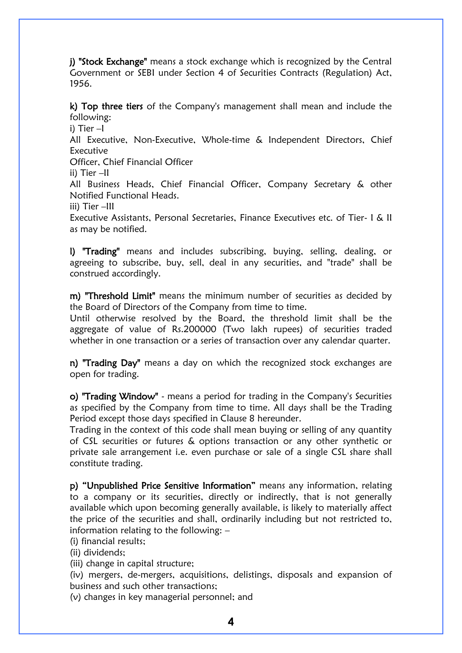j) "Stock Exchange" means a stock exchange which is recognized by the Central Government or SEBI under Section 4 of Securities Contracts (Regulation) Act, 1956.

k) Top three tiers of the Company's management shall mean and include the following:

i) Tier –I

All Executive, Non-Executive, Whole-time & Independent Directors, Chief Executive

Officer, Chief Financial Officer

ii) Tier –II

All Business Heads, Chief Financial Officer, Company Secretary & other Notified Functional Heads.

iii) Tier –III

Executive Assistants, Personal Secretaries, Finance Executives etc. of Tier- I & II as may be notified.

l) "Trading" means and includes subscribing, buying, selling, dealing, or agreeing to subscribe, buy, sell, deal in any securities, and "trade" shall be construed accordingly.

m) "Threshold Limit" means the minimum number of securities as decided by the Board of Directors of the Company from time to time.

Until otherwise resolved by the Board, the threshold limit shall be the aggregate of value of Rs.200000 (Two lakh rupees) of securities traded whether in one transaction or a series of transaction over any calendar quarter.

n) "Trading Day" means a day on which the recognized stock exchanges are open for trading.

o) "Trading Window" - means a period for trading in the Company's Securities as specified by the Company from time to time. All days shall be the Trading Period except those days specified in Clause 8 hereunder.

Trading in the context of this code shall mean buying or selling of any quantity of CSL securities or futures & options transaction or any other synthetic or private sale arrangement i.e. even purchase or sale of a single CSL share shall constitute trading.

p) "Unpublished Price Sensitive Information" means any information, relating to a company or its securities, directly or indirectly, that is not generally available which upon becoming generally available, is likely to materially affect the price of the securities and shall, ordinarily including but not restricted to, information relating to the following: –

(i) financial results;

(ii) dividends;

(iii) change in capital structure;

(iv) mergers, de-mergers, acquisitions, delistings, disposals and expansion of business and such other transactions;

(v) changes in key managerial personnel; and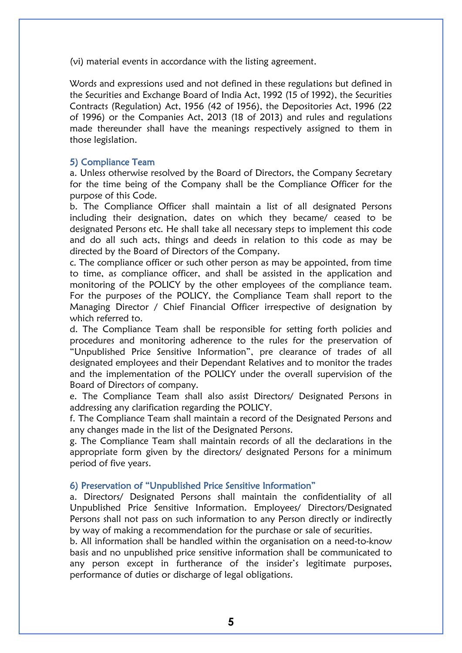(vi) material events in accordance with the listing agreement.

Words and expressions used and not defined in these regulations but defined in the Securities and Exchange Board of India Act, 1992 (15 of 1992), the Securities Contracts (Regulation) Act, 1956 (42 of 1956), the Depositories Act, 1996 (22 of 1996) or the Companies Act, 2013 (18 of 2013) and rules and regulations made thereunder shall have the meanings respectively assigned to them in those legislation.

## 5) Compliance Team

a. Unless otherwise resolved by the Board of Directors, the Company Secretary for the time being of the Company shall be the Compliance Officer for the purpose of this Code.

b. The Compliance Officer shall maintain a list of all designated Persons including their designation, dates on which they became/ ceased to be designated Persons etc. He shall take all necessary steps to implement this code and do all such acts, things and deeds in relation to this code as may be directed by the Board of Directors of the Company.

c. The compliance officer or such other person as may be appointed, from time to time, as compliance officer, and shall be assisted in the application and monitoring of the POLICY by the other employees of the compliance team. For the purposes of the POLICY, the Compliance Team shall report to the Managing Director / Chief Financial Officer irrespective of designation by which referred to.

d. The Compliance Team shall be responsible for setting forth policies and procedures and monitoring adherence to the rules for the preservation of "Unpublished Price Sensitive Information", pre clearance of trades of all designated employees and their Dependant Relatives and to monitor the trades and the implementation of the POLICY under the overall supervision of the Board of Directors of company.

e. The Compliance Team shall also assist Directors/ Designated Persons in addressing any clarification regarding the POLICY.

f. The Compliance Team shall maintain a record of the Designated Persons and any changes made in the list of the Designated Persons.

g. The Compliance Team shall maintain records of all the declarations in the appropriate form given by the directors/ designated Persons for a minimum period of five years.

## 6) Preservation of "Unpublished Price Sensitive Information"

a. Directors/ Designated Persons shall maintain the confidentiality of all Unpublished Price Sensitive Information. Employees/ Directors/Designated Persons shall not pass on such information to any Person directly or indirectly by way of making a recommendation for the purchase or sale of securities.

b. All information shall be handled within the organisation on a need-to-know basis and no unpublished price sensitive information shall be communicated to any person except in furtherance of the insider's legitimate purposes, performance of duties or discharge of legal obligations.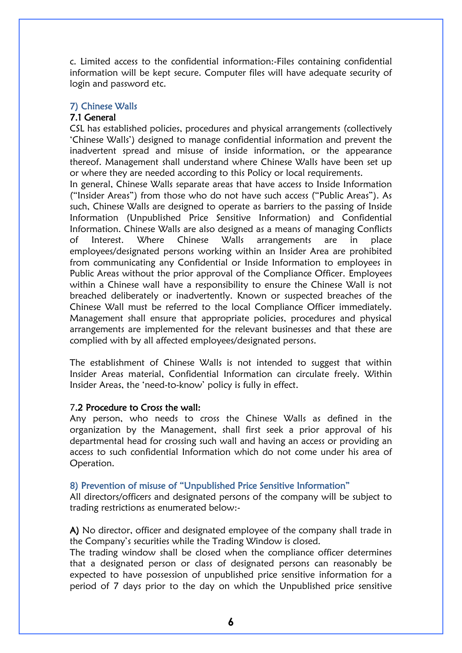c. Limited access to the confidential information:-Files containing confidential information will be kept secure. Computer files will have adequate security of login and password etc.

#### 7) Chinese Walls

#### 7.1 General

CSL has established policies, procedures and physical arrangements (collectively 'Chinese Walls') designed to manage confidential information and prevent the inadvertent spread and misuse of inside information, or the appearance thereof. Management shall understand where Chinese Walls have been set up or where they are needed according to this Policy or local requirements.

In general, Chinese Walls separate areas that have access to Inside Information ("Insider Areas") from those who do not have such access ("Public Areas"). As such, Chinese Walls are designed to operate as barriers to the passing of Inside Information (Unpublished Price Sensitive Information) and Confidential Information. Chinese Walls are also designed as a means of managing Conflicts of Interest. Where Chinese Walls arrangements are in place employees/designated persons working within an Insider Area are prohibited from communicating any Confidential or Inside Information to employees in Public Areas without the prior approval of the Compliance Officer. Employees within a Chinese wall have a responsibility to ensure the Chinese Wall is not breached deliberately or inadvertently. Known or suspected breaches of the Chinese Wall must be referred to the local Compliance Officer immediately. Management shall ensure that appropriate policies, procedures and physical arrangements are implemented for the relevant businesses and that these are complied with by all affected employees/designated persons.

The establishment of Chinese Walls is not intended to suggest that within Insider Areas material, Confidential Information can circulate freely. Within Insider Areas, the 'need-to-know' policy is fully in effect.

#### 7.2 Procedure to Cross the wall:

Any person, who needs to cross the Chinese Walls as defined in the organization by the Management, shall first seek a prior approval of his departmental head for crossing such wall and having an access or providing an access to such confidential Information which do not come under his area of Operation.

#### 8) Prevention of misuse of "Unpublished Price Sensitive Information"

All directors/officers and designated persons of the company will be subject to trading restrictions as enumerated below:-

A) No director, officer and designated employee of the company shall trade in the Company's securities while the Trading Window is closed.

The trading window shall be closed when the compliance officer determines that a designated person or class of designated persons can reasonably be expected to have possession of unpublished price sensitive information for a period of 7 days prior to the day on which the Unpublished price sensitive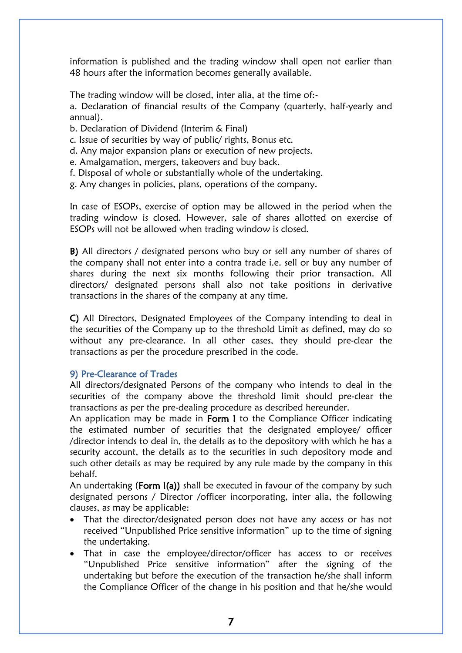information is published and the trading window shall open not earlier than 48 hours after the information becomes generally available.

The trading window will be closed, inter alia, at the time of:-

a. Declaration of financial results of the Company (quarterly, half-yearly and annual).

- b. Declaration of Dividend (Interim & Final)
- c. Issue of securities by way of public/ rights, Bonus etc.
- d. Any major expansion plans or execution of new projects.
- e. Amalgamation, mergers, takeovers and buy back.
- f. Disposal of whole or substantially whole of the undertaking.
- g. Any changes in policies, plans, operations of the company.

In case of ESOPs, exercise of option may be allowed in the period when the trading window is closed. However, sale of shares allotted on exercise of ESOPs will not be allowed when trading window is closed.

B) All directors / designated persons who buy or sell any number of shares of the company shall not enter into a contra trade i.e. sell or buy any number of shares during the next six months following their prior transaction. All directors/ designated persons shall also not take positions in derivative transactions in the shares of the company at any time.

C) All Directors, Designated Employees of the Company intending to deal in the securities of the Company up to the threshold Limit as defined, may do so without any pre-clearance. In all other cases, they should pre-clear the transactions as per the procedure prescribed in the code.

## 9) Pre-Clearance of Trades

All directors/designated Persons of the company who intends to deal in the securities of the company above the threshold limit should pre-clear the transactions as per the pre-dealing procedure as described hereunder.

An application may be made in **Form I** to the Compliance Officer indicating the estimated number of securities that the designated employee/ officer /director intends to deal in, the details as to the depository with which he has a security account, the details as to the securities in such depository mode and such other details as may be required by any rule made by the company in this behalf.

An undertaking (Form I(a)) shall be executed in favour of the company by such designated persons / Director /officer incorporating, inter alia, the following clauses, as may be applicable:

- That the director/designated person does not have any access or has not received "Unpublished Price sensitive information" up to the time of signing the undertaking.
- That in case the employee/director/officer has access to or receives "Unpublished Price sensitive information" after the signing of the undertaking but before the execution of the transaction he/she shall inform the Compliance Officer of the change in his position and that he/she would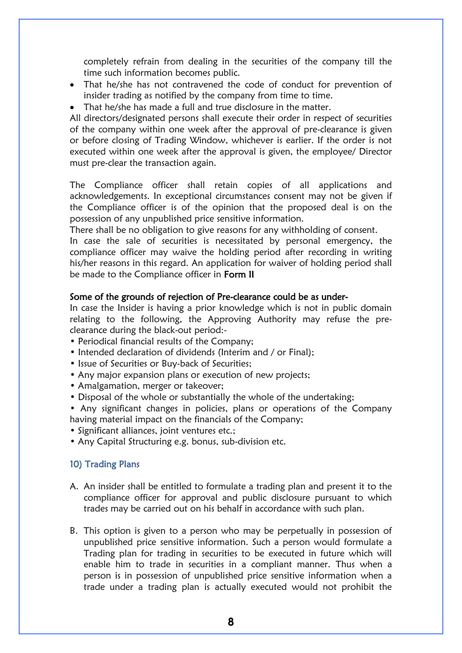completely refrain from dealing in the securities of the company till the time such information becomes public.

- That he/she has not contravened the code of conduct for prevention of insider trading as notified by the company from time to time.
- That he/she has made a full and true disclosure in the matter.

All directors/designated persons shall execute their order in respect of securities of the company within one week after the approval of pre-clearance is given or before closing of Trading Window, whichever is earlier. If the order is not executed within one week after the approval is given, the employee/ Director must pre-clear the transaction again.

The Compliance officer shall retain copies of all applications and acknowledgements. In exceptional circumstances consent may not be given if the Compliance officer is of the opinion that the proposed deal is on the possession of any unpublished price sensitive information.

There shall be no obligation to give reasons for any withholding of consent.

In case the sale of securities is necessitated by personal emergency, the compliance officer may waive the holding period after recording in writing his/her reasons in this regard. An application for waiver of holding period shall be made to the Compliance officer in **Form II** 

#### Some of the grounds of rejection of Pre-clearance could be as under-

In case the Insider is having a prior knowledge which is not in public domain relating to the following, the Approving Authority may refuse the preclearance during the black-out period:-

- Periodical financial results of the Company;
- Intended declaration of dividends (Interim and / or Final);
- Issue of Securities or Buy-back of Securities;
- Any major expansion plans or execution of new projects;
- Amalgamation, merger or takeover;
- Disposal of the whole or substantially the whole of the undertaking;
- Any significant changes in policies, plans or operations of the Company having material impact on the financials of the Company;
- Significant alliances, joint ventures etc.;
- Any Capital Structuring e.g. bonus, sub-division etc.

#### 10) Trading Plans

- A. An insider shall be entitled to formulate a trading plan and present it to the compliance officer for approval and public disclosure pursuant to which trades may be carried out on his behalf in accordance with such plan.
- B. This option is given to a person who may be perpetually in possession of unpublished price sensitive information. Such a person would formulate a Trading plan for trading in securities to be executed in future which will enable him to trade in securities in a compliant manner. Thus when a person is in possession of unpublished price sensitive information when a trade under a trading plan is actually executed would not prohibit the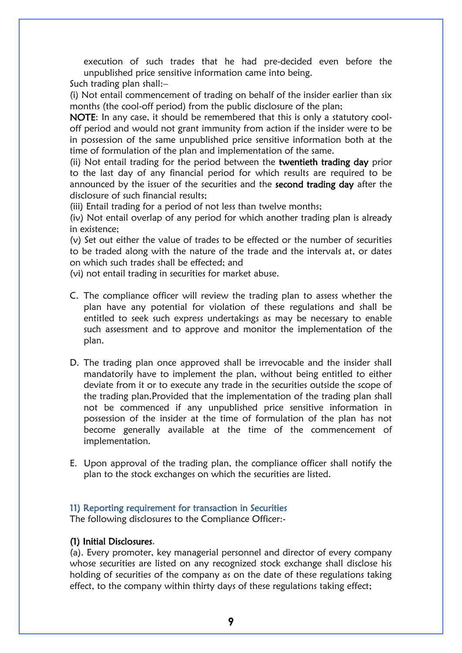execution of such trades that he had pre-decided even before the unpublished price sensitive information came into being.

Such trading plan shall:–

(i) Not entail commencement of trading on behalf of the insider earlier than six months (the cool-off period) from the public disclosure of the plan;

NOTE: In any case, it should be remembered that this is only a statutory cooloff period and would not grant immunity from action if the insider were to be in possession of the same unpublished price sensitive information both at the time of formulation of the plan and implementation of the same.

(ii) Not entail trading for the period between the twentieth trading day prior to the last day of any financial period for which results are required to be announced by the issuer of the securities and the second trading day after the disclosure of such financial results;

(iii) Entail trading for a period of not less than twelve months;

(iv) Not entail overlap of any period for which another trading plan is already in existence;

(v) Set out either the value of trades to be effected or the number of securities to be traded along with the nature of the trade and the intervals at, or dates on which such trades shall be effected; and

(vi) not entail trading in securities for market abuse.

- C. The compliance officer will review the trading plan to assess whether the plan have any potential for violation of these regulations and shall be entitled to seek such express undertakings as may be necessary to enable such assessment and to approve and monitor the implementation of the plan.
- D. The trading plan once approved shall be irrevocable and the insider shall mandatorily have to implement the plan, without being entitled to either deviate from it or to execute any trade in the securities outside the scope of the trading plan.Provided that the implementation of the trading plan shall not be commenced if any unpublished price sensitive information in possession of the insider at the time of formulation of the plan has not become generally available at the time of the commencement of implementation.
- E. Upon approval of the trading plan, the compliance officer shall notify the plan to the stock exchanges on which the securities are listed.

#### 11) Reporting requirement for transaction in Securities

The following disclosures to the Compliance Officer:-

#### (1) Initial Disclosures.

(a). Every promoter, key managerial personnel and director of every company whose securities are listed on any recognized stock exchange shall disclose his holding of securities of the company as on the date of these regulations taking effect, to the company within thirty days of these regulations taking effect;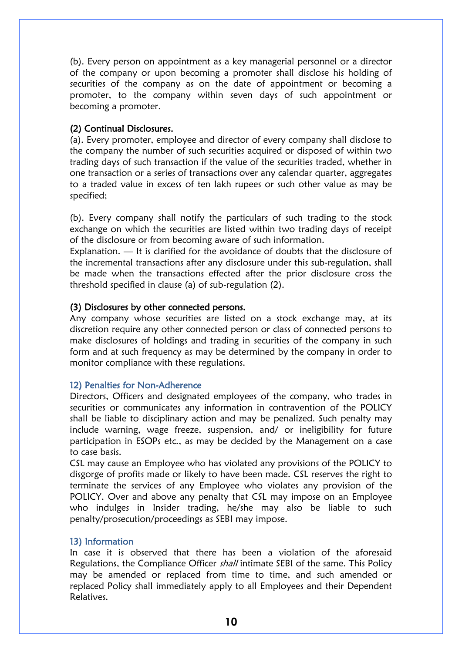(b). Every person on appointment as a key managerial personnel or a director of the company or upon becoming a promoter shall disclose his holding of securities of the company as on the date of appointment or becoming a promoter, to the company within seven days of such appointment or becoming a promoter.

#### (2) Continual Disclosures.

(a). Every promoter, employee and director of every company shall disclose to the company the number of such securities acquired or disposed of within two trading days of such transaction if the value of the securities traded, whether in one transaction or a series of transactions over any calendar quarter, aggregates to a traded value in excess of ten lakh rupees or such other value as may be specified;

(b). Every company shall notify the particulars of such trading to the stock exchange on which the securities are listed within two trading days of receipt of the disclosure or from becoming aware of such information.

Explanation. — It is clarified for the avoidance of doubts that the disclosure of the incremental transactions after any disclosure under this sub-regulation, shall be made when the transactions effected after the prior disclosure cross the threshold specified in clause (a) of sub-regulation (2).

#### (3) Disclosures by other connected persons.

Any company whose securities are listed on a stock exchange may, at its discretion require any other connected person or class of connected persons to make disclosures of holdings and trading in securities of the company in such form and at such frequency as may be determined by the company in order to monitor compliance with these regulations.

#### 12) Penalties for Non-Adherence

Directors, Officers and designated employees of the company, who trades in securities or communicates any information in contravention of the POLICY shall be liable to disciplinary action and may be penalized. Such penalty may include warning, wage freeze, suspension, and/ or ineligibility for future participation in ESOPs etc., as may be decided by the Management on a case to case basis.

CSL may cause an Employee who has violated any provisions of the POLICY to disgorge of profits made or likely to have been made. CSL reserves the right to terminate the services of any Employee who violates any provision of the POLICY. Over and above any penalty that CSL may impose on an Employee who indulges in Insider trading, he/she may also be liable to such penalty/prosecution/proceedings as SEBI may impose.

#### 13) Information

In case it is observed that there has been a violation of the aforesaid Regulations, the Compliance Officer shall intimate SEBI of the same. This Policy may be amended or replaced from time to time, and such amended or replaced Policy shall immediately apply to all Employees and their Dependent Relatives.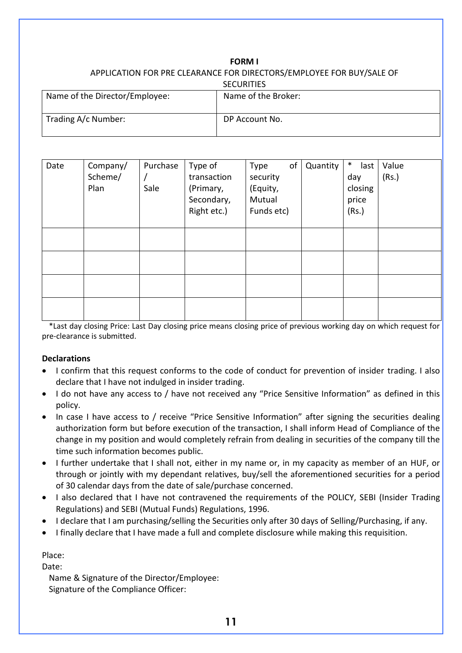#### **FORM I** APPLICATION FOR PRE CLEARANCE FOR DIRECTORS/EMPLOYEE FOR BUY/SALE OF **SECURITIES**

|                                | ----------          |
|--------------------------------|---------------------|
| Name of the Director/Employee: | Name of the Broker: |
| Trading A/c Number:            | DP Account No.      |

| Date | Company/<br>Scheme/<br>Plan | Purchase<br>Sale | Type of<br>transaction<br>(Primary,<br>Secondary,<br>Right etc.) | of<br>Type<br>security<br>(Equity,<br>Mutual<br>Funds etc) | Quantity | $\ast$<br>last<br>day<br>closing<br>price<br>(Rs.) | Value<br>(Rs.) |
|------|-----------------------------|------------------|------------------------------------------------------------------|------------------------------------------------------------|----------|----------------------------------------------------|----------------|
|      |                             |                  |                                                                  |                                                            |          |                                                    |                |
|      |                             |                  |                                                                  |                                                            |          |                                                    |                |
|      |                             |                  |                                                                  |                                                            |          |                                                    |                |
|      |                             |                  |                                                                  |                                                            |          |                                                    |                |

\*Last day closing Price: Last Day closing price means closing price of previous working day on which request for pre-clearance is submitted.

## **Declarations**

- I confirm that this request conforms to the code of conduct for prevention of insider trading. I also declare that I have not indulged in insider trading.
- I do not have any access to / have not received any "Price Sensitive Information" as defined in this policy.
- In case I have access to / receive "Price Sensitive Information" after signing the securities dealing authorization form but before execution of the transaction, I shall inform Head of Compliance of the change in my position and would completely refrain from dealing in securities of the company till the time such information becomes public.
- I further undertake that I shall not, either in my name or, in my capacity as member of an HUF, or through or jointly with my dependant relatives, buy/sell the aforementioned securities for a period of 30 calendar days from the date of sale/purchase concerned.
- I also declared that I have not contravened the requirements of the POLICY, SEBI (Insider Trading Regulations) and SEBI (Mutual Funds) Regulations, 1996.
- I declare that I am purchasing/selling the Securities only after 30 days of Selling/Purchasing, if any.
- I finally declare that I have made a full and complete disclosure while making this requisition.

Place:

Date:

Name & Signature of the Director/Employee: Signature of the Compliance Officer:

**11**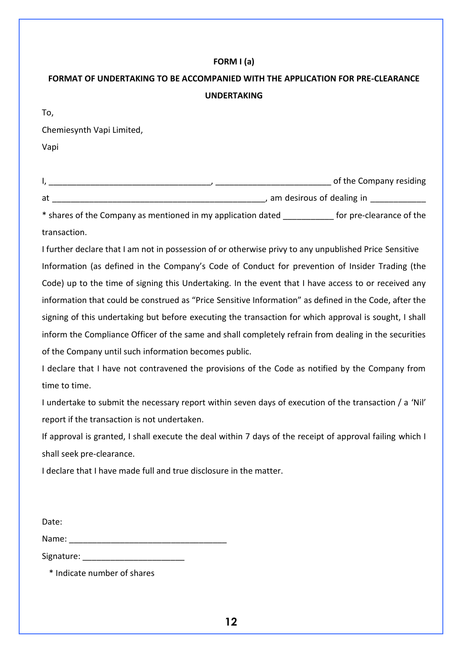#### **FORM I (a)**

# **FORMAT OF UNDERTAKING TO BE ACCOMPANIED WITH THE APPLICATION FOR PRE-CLEARANCE UNDERTAKING**

| To,                       |  |                         |
|---------------------------|--|-------------------------|
| Chemiesynth Vapi Limited, |  |                         |
| Vapi                      |  |                         |
|                           |  |                         |
|                           |  | of the Company residing |

at \_\_\_\_\_\_\_\_\_\_\_\_\_\_\_\_\_\_\_\_\_\_\_\_\_\_\_\_\_\_\_\_\_\_\_\_\_\_\_\_\_\_\_\_\_\_, am desirous of dealing in \_\_\_\_\_\_\_\_\_\_\_\_

\* shares of the Company as mentioned in my application dated \_\_\_\_\_\_\_\_\_\_\_ for pre-clearance of the transaction.

I further declare that I am not in possession of or otherwise privy to any unpublished Price Sensitive Information (as defined in the Company's Code of Conduct for prevention of Insider Trading (the Code) up to the time of signing this Undertaking. In the event that I have access to or received any information that could be construed as "Price Sensitive Information" as defined in the Code, after the signing of this undertaking but before executing the transaction for which approval is sought, I shall inform the Compliance Officer of the same and shall completely refrain from dealing in the securities of the Company until such information becomes public.

I declare that I have not contravened the provisions of the Code as notified by the Company from time to time.

I undertake to submit the necessary report within seven days of execution of the transaction / a 'Nil' report if the transaction is not undertaken.

If approval is granted, I shall execute the deal within 7 days of the receipt of approval failing which I shall seek pre-clearance.

I declare that I have made full and true disclosure in the matter.

| Date: |  |  |  |
|-------|--|--|--|
| Name: |  |  |  |

Signature:

\* Indicate number of shares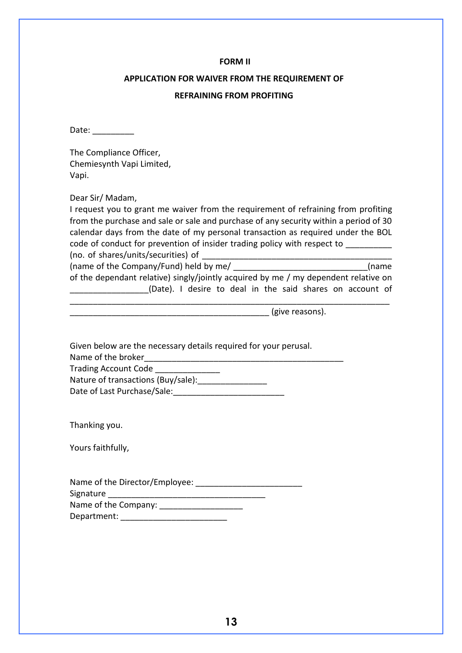#### **FORM II**

# **APPLICATION FOR WAIVER FROM THE REQUIREMENT OF REFRAINING FROM PROFITING**

Date:

The Compliance Officer, Chemiesynth Vapi Limited, Vapi.

Dear Sir/ Madam,

I request you to grant me waiver from the requirement of refraining from profiting from the purchase and sale or sale and purchase of any security within a period of 30 calendar days from the date of my personal transaction as required under the BOL code of conduct for prevention of insider trading policy with respect to (no. of shares/units/securities) of \_\_\_\_\_\_\_\_\_\_\_\_\_\_\_\_\_\_\_\_\_\_\_\_\_\_\_\_\_\_\_\_\_\_\_\_\_\_\_\_\_

 $(name of the Company/Fund) held by me/$   $(mame of the Company/Fund)$ of the dependant relative) singly/jointly acquired by me / my dependent relative on \_\_\_\_\_\_\_\_\_\_\_\_\_\_\_\_\_(Date). I desire to deal in the said shares on account of

\_\_\_\_\_\_\_\_\_\_\_\_\_\_\_\_\_\_\_\_\_\_\_\_\_\_\_\_\_\_\_\_\_\_\_\_\_\_\_\_\_\_\_\_\_\_\_\_\_\_\_\_\_\_\_\_\_\_\_\_\_\_\_\_\_\_\_\_\_

\_\_\_\_\_\_\_\_\_\_\_\_\_\_\_\_\_\_\_\_\_\_\_\_\_\_\_\_\_\_\_\_\_\_\_\_\_\_\_\_\_\_\_ (give reasons).

Given below are the necessary details required for your perusal. Name of the broker Trading Account Code \_\_\_\_\_\_\_\_\_\_\_\_\_\_ Nature of transactions (Buy/sale): Date of Last Purchase/Sale:\_\_\_\_\_\_\_\_\_\_\_\_\_\_\_\_\_\_\_\_\_\_\_\_

Thanking you.

Yours faithfully,

| Name of the Director/Employee: |  |
|--------------------------------|--|
| Signature                      |  |
| Name of the Company:           |  |
| Department:                    |  |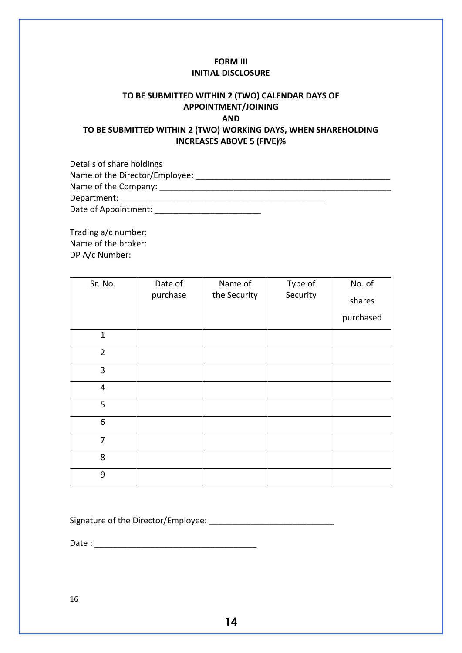#### **FORM III INITIAL DISCLOSURE**

#### **TO BE SUBMITTED WITHIN 2 (TWO) CALENDAR DAYS OF APPOINTMENT/JOINING AND**

# **TO BE SUBMITTED WITHIN 2 (TWO) WORKING DAYS, WHEN SHAREHOLDING INCREASES ABOVE 5 (FIVE)%**

Details of share holdings

Name of the Director/Employee: \_\_\_\_\_\_\_\_\_\_\_\_\_\_\_\_\_\_\_\_\_\_\_\_\_\_\_\_\_\_\_\_\_\_\_\_\_\_\_\_\_\_

Name of the Company: \_\_\_\_\_\_\_\_\_\_\_\_\_\_\_\_\_\_\_\_\_\_\_\_\_\_\_\_\_\_\_\_\_\_\_\_\_\_\_\_\_\_\_\_\_\_\_\_\_\_

Department: \_\_\_\_\_\_\_\_\_\_\_\_\_\_\_\_\_\_\_\_\_\_\_\_\_\_\_\_\_\_\_\_\_\_\_\_\_\_\_\_\_\_\_\_

Date of Appointment: \_\_\_\_\_\_\_\_\_\_\_\_\_\_\_\_\_\_\_\_\_\_\_

Trading a/c number: Name of the broker: DP A/c Number:

| Sr. No.        | Date of<br>purchase | Name of<br>the Security | Type of<br>Security | No. of<br>shares<br>purchased |
|----------------|---------------------|-------------------------|---------------------|-------------------------------|
| $\mathbf{1}$   |                     |                         |                     |                               |
| $\overline{2}$ |                     |                         |                     |                               |
| 3              |                     |                         |                     |                               |
| $\overline{4}$ |                     |                         |                     |                               |
| 5              |                     |                         |                     |                               |
| $6\,$          |                     |                         |                     |                               |
| $\overline{7}$ |                     |                         |                     |                               |
| 8              |                     |                         |                     |                               |
| 9              |                     |                         |                     |                               |

Signature of the Director/Employee: \_\_\_\_\_\_\_\_\_\_\_\_\_\_\_\_\_\_\_\_\_\_\_\_\_\_\_

Date :

16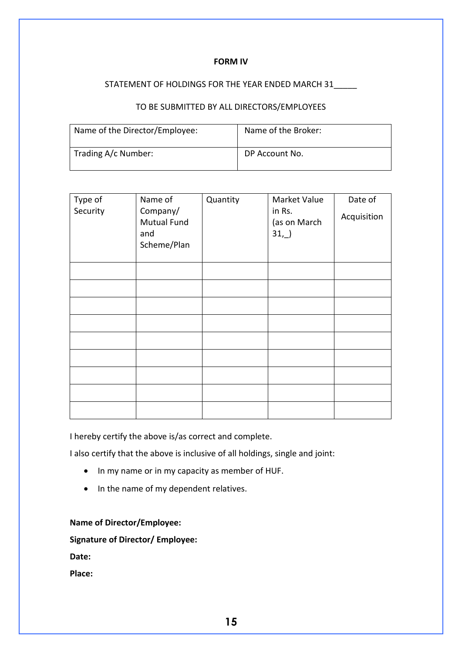#### **FORM IV**

#### STATEMENT OF HOLDINGS FOR THE YEAR ENDED MARCH 31

#### TO BE SUBMITTED BY ALL DIRECTORS/EMPLOYEES

| Name of the Director/Employee: | Name of the Broker: |
|--------------------------------|---------------------|
| Trading A/c Number:            | DP Account No.      |

| Type of<br>Security | Name of<br>Company/<br><b>Mutual Fund</b><br>and<br>Scheme/Plan | Quantity | Market Value<br>in Rs.<br>(as on March<br>$31,$ ) | Date of<br>Acquisition |
|---------------------|-----------------------------------------------------------------|----------|---------------------------------------------------|------------------------|
|                     |                                                                 |          |                                                   |                        |
|                     |                                                                 |          |                                                   |                        |
|                     |                                                                 |          |                                                   |                        |
|                     |                                                                 |          |                                                   |                        |
|                     |                                                                 |          |                                                   |                        |
|                     |                                                                 |          |                                                   |                        |
|                     |                                                                 |          |                                                   |                        |
|                     |                                                                 |          |                                                   |                        |
|                     |                                                                 |          |                                                   |                        |

I hereby certify the above is/as correct and complete.

I also certify that the above is inclusive of all holdings, single and joint:

- In my name or in my capacity as member of HUF.
- In the name of my dependent relatives.

#### **Name of Director/Employee:**

**Signature of Director/ Employee:**

**Date:**

**Place:**